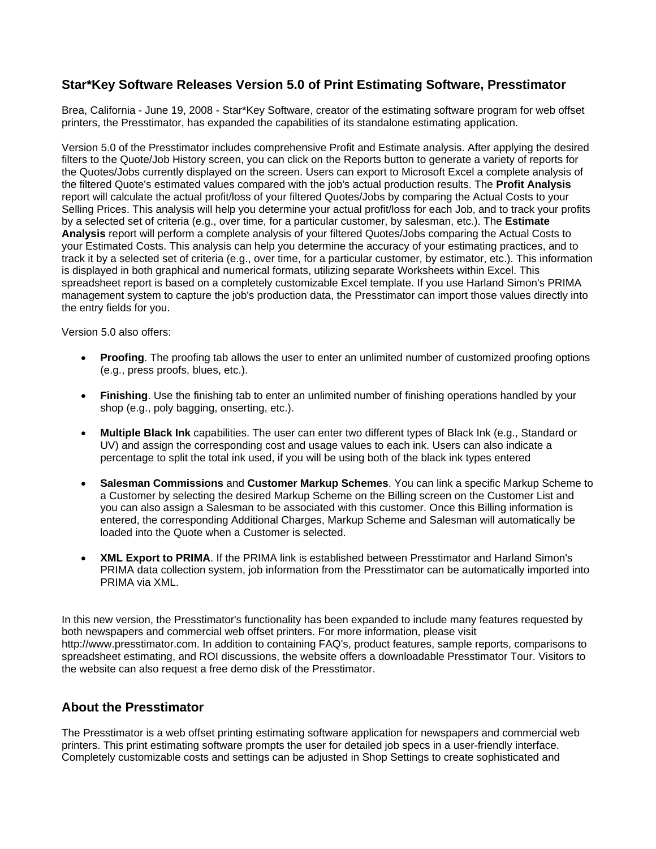## **Star\*Key Software Releases Version 5.0 of Print Estimating Software, Presstimator**

Brea, California - June 19, 2008 - Star\*Key Software, creator of the estimating software program for web offset printers, the Presstimator, has expanded the capabilities of its standalone estimating application.

Version 5.0 of the Presstimator includes comprehensive Profit and Estimate analysis. After applying the desired filters to the Quote/Job History screen, you can click on the Reports button to generate a variety of reports for the Quotes/Jobs currently displayed on the screen. Users can export to Microsoft Excel a complete analysis of the filtered Quote's estimated values compared with the job's actual production results. The **Profit Analysis** report will calculate the actual profit/loss of your filtered Quotes/Jobs by comparing the Actual Costs to your Selling Prices. This analysis will help you determine your actual profit/loss for each Job, and to track your profits by a selected set of criteria (e.g., over time, for a particular customer, by salesman, etc.). The **Estimate Analysis** report will perform a complete analysis of your filtered Quotes/Jobs comparing the Actual Costs to your Estimated Costs. This analysis can help you determine the accuracy of your estimating practices, and to track it by a selected set of criteria (e.g., over time, for a particular customer, by estimator, etc.). This information is displayed in both graphical and numerical formats, utilizing separate Worksheets within Excel. This spreadsheet report is based on a completely customizable Excel template. If you use Harland Simon's PRIMA management system to capture the job's production data, the Presstimator can import those values directly into the entry fields for you.

Version 5.0 also offers:

- **Proofing**. The proofing tab allows the user to enter an unlimited number of customized proofing options (e.g., press proofs, blues, etc.).
- **Finishing**. Use the finishing tab to enter an unlimited number of finishing operations handled by your shop (e.g., poly bagging, onserting, etc.).
- **Multiple Black Ink** capabilities. The user can enter two different types of Black Ink (e.g., Standard or UV) and assign the corresponding cost and usage values to each ink. Users can also indicate a percentage to split the total ink used, if you will be using both of the black ink types entered
- **Salesman Commissions** and **Customer Markup Schemes**. You can link a specific Markup Scheme to a Customer by selecting the desired Markup Scheme on the Billing screen on the Customer List and you can also assign a Salesman to be associated with this customer. Once this Billing information is entered, the corresponding Additional Charges, Markup Scheme and Salesman will automatically be loaded into the Quote when a Customer is selected.
- **XML Export to PRIMA**. If the PRIMA link is established between Presstimator and Harland Simon's PRIMA data collection system, job information from the Presstimator can be automatically imported into PRIMA via XML.

In this new version, the Presstimator's functionality has been expanded to include many features requested by both newspapers and commercial web offset printers. For more information, please visit http://www.presstimator.com. In addition to containing FAQ's, product features, sample reports, comparisons to spreadsheet estimating, and ROI discussions, the website offers a downloadable Presstimator Tour. Visitors to the website can also request a free demo disk of the Presstimator.

## **About the Presstimator**

The Presstimator is a web offset printing estimating software application for newspapers and commercial web printers. This print estimating software prompts the user for detailed job specs in a user-friendly interface. Completely customizable costs and settings can be adjusted in Shop Settings to create sophisticated and